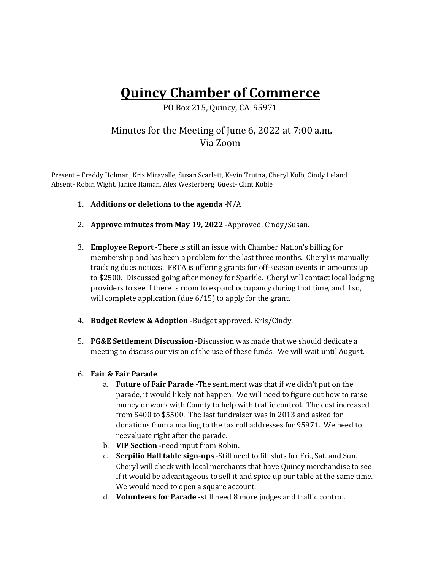# **Quincy Chamber of Commerce**

PO Box 215, Quincy, CA 95971

## Minutes for the Meeting of June 6, 2022 at 7:00 a.m. Via Zoom

Present – Freddy Holman, Kris Miravalle, Susan Scarlett, Kevin Trutna, Cheryl Kolb, Cindy Leland Absent- Robin Wight, Janice Haman, Alex Westerberg Guest- Clint Koble

- 1. **Additions or deletions to the agenda** -N/A
- 2. **Approve minutes from May 19, 2022** -Approved. Cindy/Susan.
- 3. **Employee Report** -There is still an issue with Chamber Nation's billing for membership and has been a problem for the last three months. Cheryl is manually tracking dues notices. FRTA is offering grants for off-season events in amounts up to \$2500. Discussed going after money for Sparkle. Cheryl will contact local lodging providers to see if there is room to expand occupancy during that time, and if so, will complete application (due 6/15) to apply for the grant.
- 4. **Budget Review & Adoption** -Budget approved. Kris/Cindy.
- 5. **PG&E Settlement Discussion** -Discussion was made that we should dedicate a meeting to discuss our vision of the use of these funds. We will wait until August.
- 6. **Fair & Fair Parade** 
	- a. **Future of Fair Parade** -The sentiment was that if we didn't put on the parade, it would likely not happen. We will need to figure out how to raise money or work with County to help with traffic control. The cost increased from \$400 to \$5500. The last fundraiser was in 2013 and asked for donations from a mailing to the tax roll addresses for 95971. We need to reevaluate right after the parade.
	- b. **VIP Section** -need input from Robin.
	- c. **Serpilio Hall table sign-ups** -Still need to fill slots for Fri., Sat. and Sun. Cheryl will check with local merchants that have Quincy merchandise to see if it would be advantageous to sell it and spice up our table at the same time. We would need to open a square account.
	- d. **Volunteers for Parade** -still need 8 more judges and traffic control.